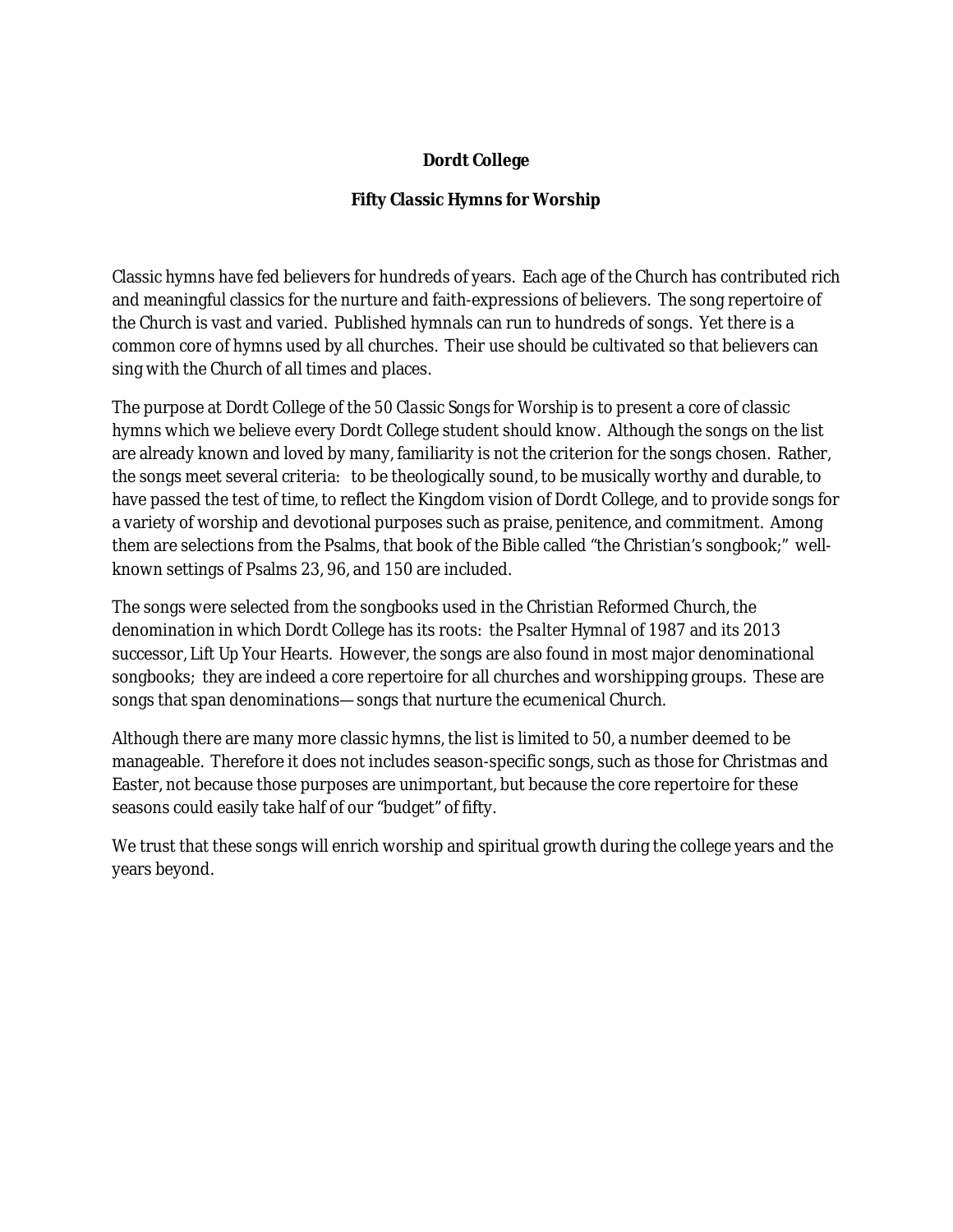## **Dordt College**

## **Fifty Classic Hymns for Worship**

Classic hymns have fed believers for hundreds of years. Each age of the Church has contributed rich and meaningful classics for the nurture and faith-expressions of believers. The song repertoire of the Church is vast and varied. Published hymnals can run to hundreds of songs. Yet there is a common core of hymns used by all churches. Their use should be cultivated so that believers can sing with the Church of all times and places.

The purpose at Dordt College of the *50 Classic Songs for Worship* is to present a core of classic hymns which we believe every Dordt College student should know. Although the songs on the list are already known and loved by many, familiarity is not the criterion for the songs chosen. Rather, the songs meet several criteria: to be theologically sound, to be musically worthy and durable, to have passed the test of time, to reflect the Kingdom vision of Dordt College, and to provide songs for a variety of worship and devotional purposes such as praise, penitence, and commitment. Among them are selections from the Psalms, that book of the Bible called "the Christian's songbook;" wellknown settings of Psalms 23, 96, and 150 are included.

The songs were selected from the songbooks used in the Christian Reformed Church, the denomination in which Dordt College has its roots: the *Psalter Hymnal* of 1987 and its 2013 successor, *Lift Up Your Hearts*. However, the songs are also found in most major denominational songbooks; they are indeed a core repertoire for all churches and worshipping groups. These are songs that span denominations—songs that nurture the ecumenical Church.

Although there are many more classic hymns, the list is limited to 50, a number deemed to be manageable. Therefore it does not includes season-specific songs, such as those for Christmas and Easter, not because those purposes are unimportant, but because the core repertoire for these seasons could easily take half of our "budget" of fifty.

We trust that these songs will enrich worship and spiritual growth during the college years and the years beyond.